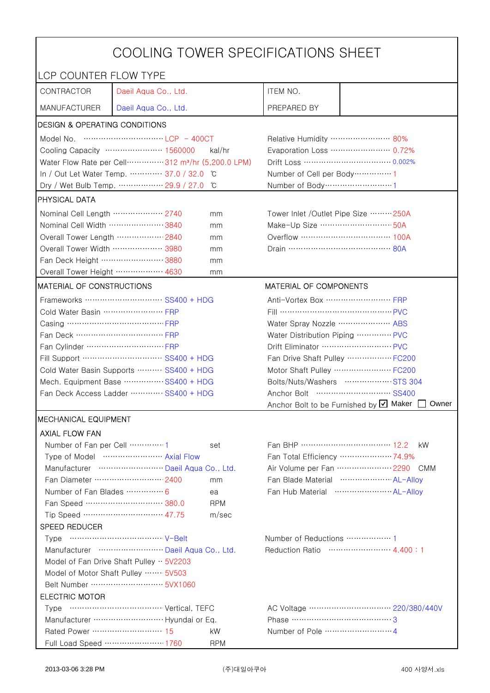|                                                                        | COOLING TOWER SPECIFICATIONS SHEET                                            |            |                                                 |                                                          |  |
|------------------------------------------------------------------------|-------------------------------------------------------------------------------|------------|-------------------------------------------------|----------------------------------------------------------|--|
| LCP COUNTER FLOW TYPE                                                  |                                                                               |            |                                                 |                                                          |  |
| CONTRACTOR                                                             | Daeil Aqua Co., Ltd.                                                          |            | ITEM NO.                                        |                                                          |  |
| <b>MANUFACTURER</b>                                                    | Daeil Aqua Co., Ltd.                                                          |            | PREPARED BY                                     |                                                          |  |
| <b>DESIGN &amp; OPERATING CONDITIONS</b>                               |                                                                               |            |                                                 |                                                          |  |
|                                                                        |                                                                               |            | Relative Humidity …………………… 80%                  |                                                          |  |
|                                                                        | Cooling Capacity ………………… 1560000                                              | kal/hr     | Evaporation Loss ………………… 0.72%                  |                                                          |  |
|                                                                        | Water Flow Rate per Cell ··············· 312 m <sup>3</sup> /hr (5,200.0 LPM) |            |                                                 |                                                          |  |
|                                                                        | In / Out Let Water Temp.  37.0 / 32.0                                         | C°         | Number of Cell per Body ··············· 1       |                                                          |  |
|                                                                        | Dry / Wet Bulb Temp.  29.9 / 27.0                                             | ŮС         | Number of Body ·······························1 |                                                          |  |
| PHYSICAL DATA                                                          |                                                                               |            |                                                 |                                                          |  |
| Nominal Cell Length  2740                                              |                                                                               | mm         | Tower Inlet /Outlet Pipe Size  250A             |                                                          |  |
| Nominal Cell Width 3840                                                |                                                                               | mm         | Make-Up Size  50A                               |                                                          |  |
| Overall Tower Length ……………… 2840                                       |                                                                               | mm         |                                                 |                                                          |  |
| Overall Tower Width ………………… 3980                                       |                                                                               | mm         |                                                 |                                                          |  |
| Fan Deck Height …………………… 3880                                          |                                                                               | mm         |                                                 |                                                          |  |
| Overall Tower Height  4630                                             |                                                                               | mm         |                                                 |                                                          |  |
| <b>MATERIAL OF CONSTRUCTIONS</b>                                       |                                                                               |            | MATERIAL OF COMPONENTS                          |                                                          |  |
|                                                                        | Frameworks ………………………… SS400 + HDG                                             |            | Anti-Vortex Box …………………… FRP                    |                                                          |  |
| Cold Water Basin  FRP                                                  |                                                                               |            | Fill …………………………………… PVC                         |                                                          |  |
| Casing …………………………………… FRP                                              |                                                                               |            | Water Spray Nozzle ………………… ABS                  |                                                          |  |
|                                                                        |                                                                               |            | Water Distribution Piping  PVC                  |                                                          |  |
|                                                                        |                                                                               |            | Drift Eliminator  PVC                           |                                                          |  |
| Fill Support ………………………… SS400 + HDG                                    |                                                                               |            | Fan Drive Shaft Pulley  FC200                   |                                                          |  |
| Cold Water Basin Supports  SS400 + HDG                                 |                                                                               |            |                                                 | Motor Shaft Pulley  FC200                                |  |
| Mech. Equipment Base SS400 + HDG                                       |                                                                               |            |                                                 | Bolts/Nuts/Washers  STS 304                              |  |
| Fan Deck Access Ladder ………… SS400 + HDG                                |                                                                               |            |                                                 |                                                          |  |
|                                                                        |                                                                               |            |                                                 | Anchor Bolt to be Furnished by <b>U</b> Maker [<br>Owner |  |
| MECHANICAL EQUIPMENT                                                   |                                                                               |            |                                                 |                                                          |  |
| <b>AXIAL FLOW FAN</b>                                                  |                                                                               |            |                                                 |                                                          |  |
|                                                                        |                                                                               | set        |                                                 | kW.                                                      |  |
|                                                                        | Type of Model  Axial Flow                                                     |            |                                                 | Fan Total Efficiency  74.9%                              |  |
|                                                                        | Manufacturer  Daeil Aqua Co., Ltd.                                            |            |                                                 | Air Volume per Fan ······················ 2290 CMM       |  |
|                                                                        | Fan Diameter ……………………… 2400                                                   | mm         |                                                 | Fan Blade Material ····················· AL-Allov        |  |
| Number of Fan Blades  6                                                |                                                                               | ea         |                                                 |                                                          |  |
|                                                                        | Fan Speed ………………………… 380.0                                                    | <b>RPM</b> |                                                 |                                                          |  |
|                                                                        | Tip Speed ………………………… 47.75                                                    | m/sec      |                                                 |                                                          |  |
| SPEED REDUCER                                                          |                                                                               |            |                                                 |                                                          |  |
|                                                                        |                                                                               |            |                                                 |                                                          |  |
| Manufacturer  Daeil Aqua Co., Ltd.<br>Reduction Ratio …………………… 4.400:1 |                                                                               |            |                                                 |                                                          |  |
| Model of Fan Drive Shaft Pulley $\cdot \cdot$ 5V2203                   |                                                                               |            |                                                 |                                                          |  |
| Model of Motor Shaft Pulley  5V503                                     |                                                                               |            |                                                 |                                                          |  |
|                                                                        |                                                                               |            |                                                 |                                                          |  |
| <b>ELECTRIC MOTOR</b>                                                  |                                                                               |            |                                                 |                                                          |  |
|                                                                        |                                                                               |            | Phase ……………………………………3                           |                                                          |  |
| Rated Power ………………………… 15                                              |                                                                               | kW         |                                                 |                                                          |  |
|                                                                        | Full Load Speed ………………… 1760                                                  | <b>RPM</b> |                                                 |                                                          |  |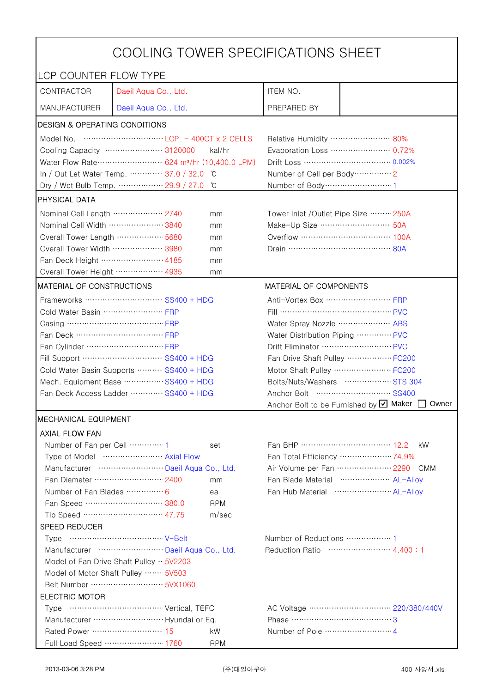| COOLING TOWER SPECIFICATIONS SHEET      |                                                                                 |                                |                                                 |                                |  |
|-----------------------------------------|---------------------------------------------------------------------------------|--------------------------------|-------------------------------------------------|--------------------------------|--|
| LCP COUNTER FLOW TYPE                   |                                                                                 |                                |                                                 |                                |  |
| CONTRACTOR                              | Daeil Aqua Co., Ltd.                                                            |                                | ITEM NO.                                        |                                |  |
| <b>MANUFACTURER</b>                     | Daeil Aqua Co., Ltd.                                                            |                                | PREPARED BY                                     |                                |  |
| DESIGN & OPERATING CONDITIONS           |                                                                                 |                                |                                                 |                                |  |
|                                         |                                                                                 |                                | Relative Humidity …………………… 80%                  |                                |  |
|                                         | Cooling Capacity ………………… 3120000                                                | kal/hr                         |                                                 | Evaporation Loss ………………… 0.72% |  |
|                                         | Water Flow Rate ························· 624 m <sup>3</sup> /hr (10,400.0 LPM) |                                |                                                 | Drift Loss …………………………… 0.002%  |  |
|                                         | In / Out Let Water Temp.  37.0 / 32.0                                           | ĬС                             | Number of Cell per Body ··············· 2       |                                |  |
|                                         | Dry / Wet Bulb Temp.  29.9 / 27.0                                               | °C                             | Number of Body ······························1  |                                |  |
| <b>PHYSICAL DATA</b>                    |                                                                                 |                                |                                                 |                                |  |
| Nominal Cell Length ……………… 2740         |                                                                                 | mm                             | Tower Inlet / Outlet Pipe Size  250A            |                                |  |
| Nominal Cell Width 3840                 |                                                                                 | mm                             | Make-Up Size ………………………… 50A                     |                                |  |
| Overall Tower Length  5680              |                                                                                 | mm                             | Overflow …………………………… 100A                       |                                |  |
| Overall Tower Width ……………… 3980         |                                                                                 | mm                             | Drain ………………………………… 80A                         |                                |  |
| Fan Deck Height …………………… 4185           |                                                                                 | mm                             |                                                 |                                |  |
| Overall Tower Height  4935              |                                                                                 | mm                             |                                                 |                                |  |
| <b>MATERIAL OF CONSTRUCTIONS</b>        |                                                                                 |                                | MATERIAL OF COMPONENTS                          |                                |  |
|                                         | Frameworks ……………………… SS400 + HDG                                                |                                | Anti-Vortex Box ……………………… FRP                   |                                |  |
| Cold Water Basin  FRP                   |                                                                                 |                                | Fill …………………………………… PVC                         |                                |  |
| Casing ………………………………… FRP                |                                                                                 |                                | Water Spray Nozzle ………………… ABS                  |                                |  |
| Fan Deck …………………………… FRP                |                                                                                 |                                | Water Distribution Piping  PVC                  |                                |  |
|                                         |                                                                                 | Drift Eliminator ……………………… PVC |                                                 |                                |  |
| Fill Support ………………………… SS400 + HDG     |                                                                                 |                                | Fan Drive Shaft Pulley  FC200                   |                                |  |
| Cold Water Basin Supports  SS400 + HDG  |                                                                                 | Motor Shaft Pulley  FC200      |                                                 |                                |  |
| Mech. Equipment Base SS400 + HDG        |                                                                                 | Bolts/Nuts/Washers  STS 304    |                                                 |                                |  |
| Fan Deck Access Ladder ………… SS400 + HDG |                                                                                 |                                | Anchor Bolt to be Furnished by Ø Maker<br>Owner |                                |  |
| <b>MECHANICAL EQUIPMENT</b>             |                                                                                 |                                |                                                 |                                |  |
| <b>AXIAL FLOW FAN</b>                   |                                                                                 |                                |                                                 |                                |  |
| Number of Fan per Cell 1                |                                                                                 | set                            | Fan BHP …………………………… 12.2                        | kW.                            |  |
| Type of Model  Axial Flow               |                                                                                 | Fan Total Efficiency  74.9%    |                                                 |                                |  |
|                                         | Manufacturer  Daeil Aqua Co., Ltd.                                              |                                |                                                 | Air Volume per Fan  2290 CMM   |  |
|                                         | Fan Diameter ……………………… 2400                                                     | mm                             |                                                 | Fan Blade Material  AL-Alloy   |  |
| Number of Fan Blades  6                 |                                                                                 | ea                             |                                                 |                                |  |
|                                         | Fan Speed ………………………… 380.0                                                      | <b>RPM</b>                     |                                                 |                                |  |
|                                         | Tip Speed ………………………… 47.75                                                      | m/sec                          |                                                 |                                |  |
| SPEED REDUCER                           |                                                                                 |                                |                                                 |                                |  |
|                                         |                                                                                 |                                |                                                 |                                |  |
| Manufacturer  Daeil Aqua Co., Ltd.      |                                                                                 |                                | Reduction Ratio …………………… 4.400:1                |                                |  |
|                                         | Model of Fan Drive Shaft Pulley $\cdot \cdot$ 5V2203                            |                                |                                                 |                                |  |
|                                         | Model of Motor Shaft Pulley  5V503                                              |                                |                                                 |                                |  |
|                                         |                                                                                 |                                |                                                 |                                |  |
| <b>ELECTRIC MOTOR</b>                   |                                                                                 |                                |                                                 |                                |  |
|                                         |                                                                                 |                                |                                                 |                                |  |
|                                         |                                                                                 |                                | Phase ……………………………………3                           |                                |  |
| Rated Power ……………………… 15                |                                                                                 | kW                             |                                                 |                                |  |
|                                         | Full Load Speed ………………… 1760                                                    | <b>RPM</b>                     |                                                 |                                |  |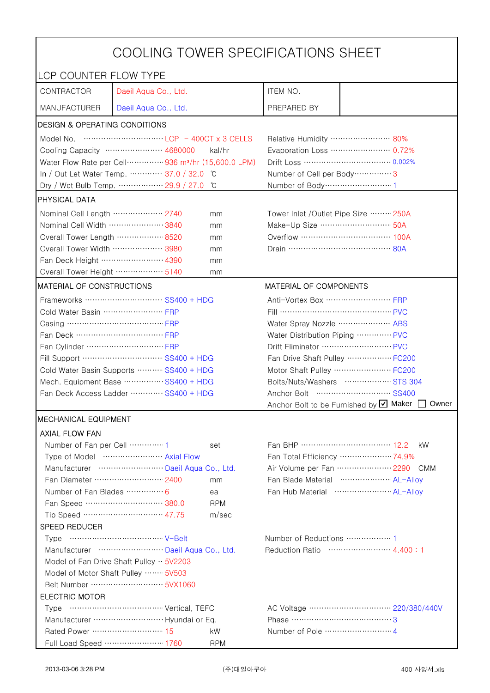|                                                                                                                                                                                                                                                                                                                                      | COOLING TOWER SPECIFICATIONS SHEET                                             |                                        |                                                     |                                |  |
|--------------------------------------------------------------------------------------------------------------------------------------------------------------------------------------------------------------------------------------------------------------------------------------------------------------------------------------|--------------------------------------------------------------------------------|----------------------------------------|-----------------------------------------------------|--------------------------------|--|
| LCP COUNTER FLOW TYPE                                                                                                                                                                                                                                                                                                                |                                                                                |                                        |                                                     |                                |  |
| CONTRACTOR                                                                                                                                                                                                                                                                                                                           | Daeil Aqua Co., Ltd.                                                           |                                        | ITEM NO.                                            |                                |  |
| <b>MANUFACTURER</b>                                                                                                                                                                                                                                                                                                                  | Daeil Aqua Co., Ltd.                                                           |                                        | PREPARED BY                                         |                                |  |
| DESIGN & OPERATING CONDITIONS                                                                                                                                                                                                                                                                                                        |                                                                                |                                        |                                                     |                                |  |
| Model No. $\cdots$ $\cdots$ $\cdots$ $\cdots$ $\cdots$ $\cdots$ $\cdots$ $\cdots$ $\cdots$ $\cdots$ $\cdots$ $\cdots$ $\cdots$ $\cdots$ $\cdots$ $\cdots$ $\cdots$ $\cdots$ $\cdots$ $\cdots$ $\cdots$ $\cdots$ $\cdots$ $\cdots$ $\cdots$ $\cdots$ $\cdots$ $\cdots$ $\cdots$ $\cdots$ $\cdots$ $\cdots$ $\cdots$ $\cdots$ $\cdots$ |                                                                                |                                        | Relative Humidity …………………… 80%                      |                                |  |
|                                                                                                                                                                                                                                                                                                                                      | Cooling Capacity ………………… 4680000                                               | kal/hr                                 |                                                     | Evaporation Loss ………………… 0.72% |  |
|                                                                                                                                                                                                                                                                                                                                      | Water Flow Rate per Cell ··············· 936 m <sup>3</sup> /hr (15,600.0 LPM) |                                        |                                                     |                                |  |
|                                                                                                                                                                                                                                                                                                                                      | In / Out Let Water Temp.  37.0 / 32.0                                          | °C                                     | Number of Cell per Body ················ 3          |                                |  |
|                                                                                                                                                                                                                                                                                                                                      | Dry / Wet Bulb Temp.  29.9 / 27.0                                              | °C                                     | Number of Body ······························1      |                                |  |
| <b>PHYSICAL DATA</b>                                                                                                                                                                                                                                                                                                                 |                                                                                |                                        |                                                     |                                |  |
| Nominal Cell Length ……………… 2740                                                                                                                                                                                                                                                                                                      |                                                                                | mm                                     | Tower Inlet / Outlet Pipe Size  250A                |                                |  |
| Nominal Cell Width 3840                                                                                                                                                                                                                                                                                                              |                                                                                | mm                                     | Make-Up Size ………………………… 50A                         |                                |  |
| Overall Tower Length  8520                                                                                                                                                                                                                                                                                                           |                                                                                | mm                                     | Overflow …………………………… 100A                           |                                |  |
| Overall Tower Width ……………… 3980                                                                                                                                                                                                                                                                                                      |                                                                                | mm                                     | Drain ………………………………… 80A                             |                                |  |
| Fan Deck Height …………………… 4390                                                                                                                                                                                                                                                                                                        |                                                                                | mm                                     |                                                     |                                |  |
| Overall Tower Height ……………… 5140                                                                                                                                                                                                                                                                                                     |                                                                                | mm                                     |                                                     |                                |  |
| <b>MATERIAL OF CONSTRUCTIONS</b>                                                                                                                                                                                                                                                                                                     |                                                                                |                                        | MATERIAL OF COMPONENTS                              |                                |  |
|                                                                                                                                                                                                                                                                                                                                      | Frameworks ……………………… SS400 + HDG                                               |                                        | Anti-Vortex Box ······························· FRP |                                |  |
| Cold Water Basin  FRP                                                                                                                                                                                                                                                                                                                |                                                                                |                                        | Fill …………………………………… PVC                             |                                |  |
| Casing ………………………………… FRP                                                                                                                                                                                                                                                                                                             |                                                                                |                                        | Water Spray Nozzle ………………… ABS                      |                                |  |
| Fan Deck …………………………… FRP                                                                                                                                                                                                                                                                                                             |                                                                                | Water Distribution Piping  PVC         |                                                     |                                |  |
|                                                                                                                                                                                                                                                                                                                                      |                                                                                | Drift Eliminator ……………………… PVC         |                                                     |                                |  |
| Fill Support ………………………… SS400 + HDG                                                                                                                                                                                                                                                                                                  |                                                                                | Fan Drive Shaft Pulley  FC200          |                                                     |                                |  |
| Cold Water Basin Supports  SS400 + HDG                                                                                                                                                                                                                                                                                               |                                                                                | Motor Shaft Pulley  FC200              |                                                     |                                |  |
| Mech. Equipment Base SS400 + HDG                                                                                                                                                                                                                                                                                                     |                                                                                | Bolts/Nuts/Washers  STS 304            |                                                     |                                |  |
| Fan Deck Access Ladder ………… SS400 + HDG                                                                                                                                                                                                                                                                                              |                                                                                | Anchor Bolt to be Furnished by Ø Maker |                                                     |                                |  |
|                                                                                                                                                                                                                                                                                                                                      |                                                                                |                                        |                                                     | Owner                          |  |
| <b>MECHANICAL EQUIPMENT</b><br><b>AXIAL FLOW FAN</b>                                                                                                                                                                                                                                                                                 |                                                                                |                                        |                                                     |                                |  |
| Number of Fan per Cell 1                                                                                                                                                                                                                                                                                                             |                                                                                |                                        | Fan BHP …………………………… 12.2                            | kW.                            |  |
|                                                                                                                                                                                                                                                                                                                                      | Type of Model  Axial Flow                                                      | set                                    |                                                     | Fan Total Efficiency  74.9%    |  |
|                                                                                                                                                                                                                                                                                                                                      | Manufacturer  Daeil Aqua Co., Ltd.                                             |                                        |                                                     | Air Volume per Fan  2290 CMM   |  |
|                                                                                                                                                                                                                                                                                                                                      | Fan Diameter ……………………… 2400                                                    | mm                                     |                                                     | Fan Blade Material  AL-Alloy   |  |
| Number of Fan Blades  6                                                                                                                                                                                                                                                                                                              |                                                                                | ea                                     |                                                     |                                |  |
|                                                                                                                                                                                                                                                                                                                                      | Fan Speed ………………………… 380.0                                                     | <b>RPM</b>                             |                                                     |                                |  |
|                                                                                                                                                                                                                                                                                                                                      | Tip Speed ………………………… 47.75                                                     | m/sec                                  |                                                     |                                |  |
| SPEED REDUCER                                                                                                                                                                                                                                                                                                                        |                                                                                |                                        |                                                     |                                |  |
|                                                                                                                                                                                                                                                                                                                                      |                                                                                |                                        |                                                     |                                |  |
| Manufacturer  Daeil Aqua Co., Ltd.                                                                                                                                                                                                                                                                                                   |                                                                                | Reduction Ratio …………………… 4.400:1       |                                                     |                                |  |
|                                                                                                                                                                                                                                                                                                                                      | Model of Fan Drive Shaft Pulley $\cdot \cdot$ 5V2203                           |                                        |                                                     |                                |  |
|                                                                                                                                                                                                                                                                                                                                      | Model of Motor Shaft Pulley  5V503                                             |                                        |                                                     |                                |  |
|                                                                                                                                                                                                                                                                                                                                      |                                                                                |                                        |                                                     |                                |  |
| <b>ELECTRIC MOTOR</b>                                                                                                                                                                                                                                                                                                                |                                                                                |                                        |                                                     |                                |  |
|                                                                                                                                                                                                                                                                                                                                      |                                                                                |                                        |                                                     |                                |  |
|                                                                                                                                                                                                                                                                                                                                      |                                                                                |                                        | Phase ……………………………………3                               |                                |  |
| Rated Power ……………………… 15                                                                                                                                                                                                                                                                                                             |                                                                                | kW                                     |                                                     |                                |  |
|                                                                                                                                                                                                                                                                                                                                      | Full Load Speed ………………… 1760                                                   | <b>RPM</b>                             |                                                     |                                |  |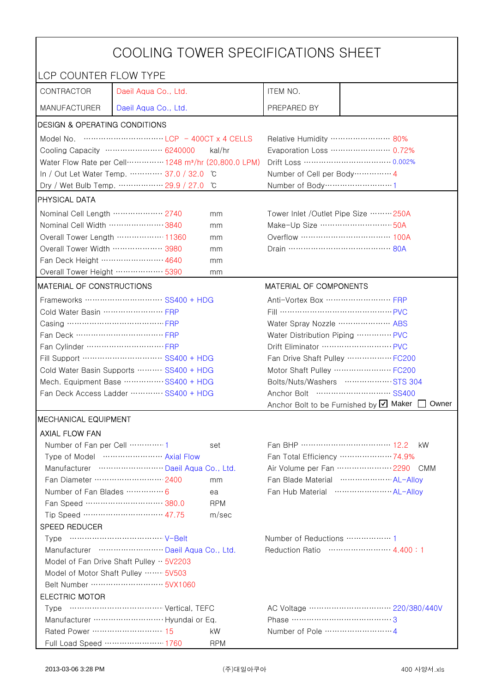|                                                                                                                                                                                                                                                                                                                                      | COOLING TOWER SPECIFICATIONS SHEET                                              |                                      |                                                     |                                                 |  |
|--------------------------------------------------------------------------------------------------------------------------------------------------------------------------------------------------------------------------------------------------------------------------------------------------------------------------------------|---------------------------------------------------------------------------------|--------------------------------------|-----------------------------------------------------|-------------------------------------------------|--|
| LCP COUNTER FLOW TYPE                                                                                                                                                                                                                                                                                                                |                                                                                 |                                      |                                                     |                                                 |  |
| CONTRACTOR                                                                                                                                                                                                                                                                                                                           | Daeil Aqua Co., Ltd.                                                            |                                      | ITEM NO.                                            |                                                 |  |
| <b>MANUFACTURER</b>                                                                                                                                                                                                                                                                                                                  | Daeil Aqua Co., Ltd.                                                            |                                      | PREPARED BY                                         |                                                 |  |
| DESIGN & OPERATING CONDITIONS                                                                                                                                                                                                                                                                                                        |                                                                                 |                                      |                                                     |                                                 |  |
| Model No. $\cdots$ $\cdots$ $\cdots$ $\cdots$ $\cdots$ $\cdots$ $\cdots$ $\cdots$ $\cdots$ $\cdots$ $\cdots$ $\cdots$ $\cdots$ $\cdots$ $\cdots$ $\cdots$ $\cdots$ $\cdots$ $\cdots$ $\cdots$ $\cdots$ $\cdots$ $\cdots$ $\cdots$ $\cdots$ $\cdots$ $\cdots$ $\cdots$ $\cdots$ $\cdots$ $\cdots$ $\cdots$ $\cdots$ $\cdots$ $\cdots$ |                                                                                 |                                      | Relative Humidity …………………… 80%                      |                                                 |  |
|                                                                                                                                                                                                                                                                                                                                      | Cooling Capacity …………………… 6240000                                               | kal/hr                               |                                                     | Evaporation Loss ………………… 0.72%                  |  |
|                                                                                                                                                                                                                                                                                                                                      | Water Flow Rate per Cell ··············· 1248 m <sup>3</sup> /hr (20,800.0 LPM) |                                      |                                                     | Drift Loss …………………………… 0.002%                   |  |
|                                                                                                                                                                                                                                                                                                                                      | In / Out Let Water Temp.  37.0 / 32.0                                           | C                                    | Number of Cell per Body ··············· 4           |                                                 |  |
|                                                                                                                                                                                                                                                                                                                                      | Dry / Wet Bulb Temp.  29.9 / 27.0                                               | °C                                   | Number of Body ······························1      |                                                 |  |
| <b>PHYSICAL DATA</b>                                                                                                                                                                                                                                                                                                                 |                                                                                 |                                      |                                                     |                                                 |  |
| Nominal Cell Length ……………… 2740                                                                                                                                                                                                                                                                                                      |                                                                                 | Tower Inlet / Outlet Pipe Size  250A |                                                     |                                                 |  |
| Nominal Cell Width 3840                                                                                                                                                                                                                                                                                                              |                                                                                 | mm                                   | Make-Up Size ………………………… 50A                         |                                                 |  |
|                                                                                                                                                                                                                                                                                                                                      | Overall Tower Length ……………… 11360                                               | mm                                   |                                                     | Overflow …………………………… 100A                       |  |
| Overall Tower Width ………………… 3980                                                                                                                                                                                                                                                                                                     |                                                                                 | mm                                   | Drain ………………………………… 80A                             |                                                 |  |
| Fan Deck Height …………………… 4640                                                                                                                                                                                                                                                                                                        |                                                                                 | mm                                   |                                                     |                                                 |  |
| Overall Tower Height  5390                                                                                                                                                                                                                                                                                                           |                                                                                 | mm                                   |                                                     |                                                 |  |
| <b>MATERIAL OF CONSTRUCTIONS</b>                                                                                                                                                                                                                                                                                                     |                                                                                 |                                      | MATERIAL OF COMPONENTS                              |                                                 |  |
|                                                                                                                                                                                                                                                                                                                                      | Frameworks ……………………… SS400 + HDG                                                |                                      | Anti-Vortex Box ······························· FRP |                                                 |  |
| Cold Water Basin  FRP                                                                                                                                                                                                                                                                                                                |                                                                                 |                                      | Fill …………………………………… PVC                             |                                                 |  |
| Casing ………………………………… FRP                                                                                                                                                                                                                                                                                                             |                                                                                 |                                      | Water Spray Nozzle ………………… ABS                      |                                                 |  |
| Fan Deck …………………………… FRP                                                                                                                                                                                                                                                                                                             |                                                                                 |                                      | Water Distribution Piping  PVC                      |                                                 |  |
|                                                                                                                                                                                                                                                                                                                                      |                                                                                 |                                      | Drift Eliminator ……………………… PVC                      |                                                 |  |
| Fill Support ………………………… SS400 + HDG                                                                                                                                                                                                                                                                                                  |                                                                                 |                                      | Fan Drive Shaft Pulley  FC200                       |                                                 |  |
| Cold Water Basin Supports  SS400 + HDG                                                                                                                                                                                                                                                                                               |                                                                                 | Motor Shaft Pulley  FC200            |                                                     |                                                 |  |
| Mech. Equipment Base SS400 + HDG                                                                                                                                                                                                                                                                                                     |                                                                                 | Bolts/Nuts/Washers  STS 304          |                                                     |                                                 |  |
| Fan Deck Access Ladder ………… SS400 + HDG                                                                                                                                                                                                                                                                                              |                                                                                 |                                      |                                                     |                                                 |  |
|                                                                                                                                                                                                                                                                                                                                      |                                                                                 |                                      |                                                     | Anchor Bolt to be Furnished by Ø Maker<br>Owner |  |
| <b>MECHANICAL EQUIPMENT</b>                                                                                                                                                                                                                                                                                                          |                                                                                 |                                      |                                                     |                                                 |  |
| <b>AXIAL FLOW FAN</b>                                                                                                                                                                                                                                                                                                                |                                                                                 |                                      |                                                     |                                                 |  |
| Number of Fan per Cell 1                                                                                                                                                                                                                                                                                                             |                                                                                 | set                                  | Fan BHP …………………………… 12.2                            | kW.                                             |  |
|                                                                                                                                                                                                                                                                                                                                      | Type of Model  Axial Flow                                                       |                                      |                                                     | Fan Total Efficiency  74.9%                     |  |
|                                                                                                                                                                                                                                                                                                                                      | Manufacturer  Daeil Aqua Co., Ltd.                                              |                                      |                                                     | Air Volume per Fan  2290 CMM                    |  |
|                                                                                                                                                                                                                                                                                                                                      | Fan Diameter ……………………… 2400                                                     | mm                                   |                                                     | Fan Blade Material  AL-Alloy                    |  |
| Number of Fan Blades  6                                                                                                                                                                                                                                                                                                              | Fan Speed ………………………… 380.0                                                      | ea<br><b>RPM</b>                     |                                                     |                                                 |  |
|                                                                                                                                                                                                                                                                                                                                      | Tip Speed ………………………… 47.75                                                      | m/sec                                |                                                     |                                                 |  |
| SPEED REDUCER                                                                                                                                                                                                                                                                                                                        |                                                                                 |                                      |                                                     |                                                 |  |
|                                                                                                                                                                                                                                                                                                                                      |                                                                                 |                                      |                                                     |                                                 |  |
| Manufacturer  Daeil Aqua Co., Ltd.                                                                                                                                                                                                                                                                                                   |                                                                                 | Reduction Ratio …………………… 4.400:1     |                                                     |                                                 |  |
|                                                                                                                                                                                                                                                                                                                                      | Model of Fan Drive Shaft Pulley $\cdot \cdot$ 5V2203                            |                                      |                                                     |                                                 |  |
|                                                                                                                                                                                                                                                                                                                                      | Model of Motor Shaft Pulley  5V503                                              |                                      |                                                     |                                                 |  |
|                                                                                                                                                                                                                                                                                                                                      |                                                                                 |                                      |                                                     |                                                 |  |
| <b>ELECTRIC MOTOR</b>                                                                                                                                                                                                                                                                                                                |                                                                                 |                                      |                                                     |                                                 |  |
|                                                                                                                                                                                                                                                                                                                                      |                                                                                 |                                      |                                                     |                                                 |  |
|                                                                                                                                                                                                                                                                                                                                      |                                                                                 |                                      | Phase ……………………………………3                               |                                                 |  |
| Rated Power ……………………… 15                                                                                                                                                                                                                                                                                                             |                                                                                 | kW                                   |                                                     |                                                 |  |
|                                                                                                                                                                                                                                                                                                                                      | Full Load Speed ………………… 1760                                                    | <b>RPM</b>                           |                                                     |                                                 |  |